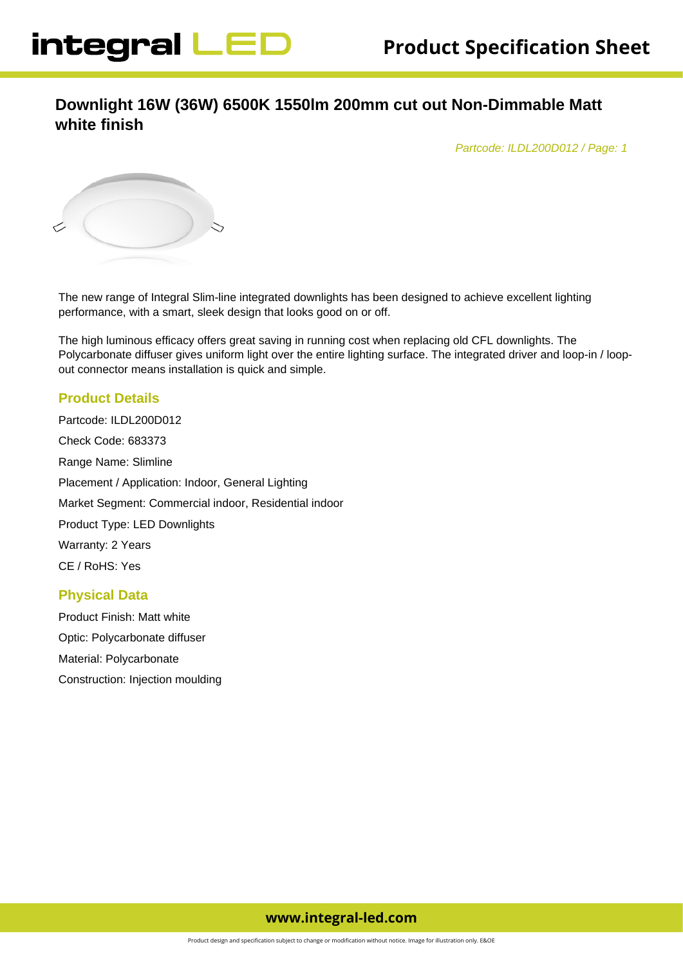# **Downlight 16W (36W) 6500K 1550lm 200mm cut out Non-Dimmable Matt white finish**

Partcode: ILDL200D012 / Page: 1



The new range of Integral Slim-line integrated downlights has been designed to achieve excellent lighting performance, with a smart, sleek design that looks good on or off.

The high luminous efficacy offers great saving in running cost when replacing old CFL downlights. The Polycarbonate diffuser gives uniform light over the entire lighting surface. The integrated driver and loop-in / loopout connector means installation is quick and simple.

#### **Product Details**

Partcode: ILDL200D012 Check Code: 683373 Range Name: Slimline Placement / Application: Indoor, General Lighting Market Segment: Commercial indoor, Residential indoor Product Type: LED Downlights Warranty: 2 Years CE / RoHS: Yes

#### **Physical Data**

Product Finish: Matt white Optic: Polycarbonate diffuser Material: Polycarbonate Construction: Injection moulding

# **www.integral-led.com**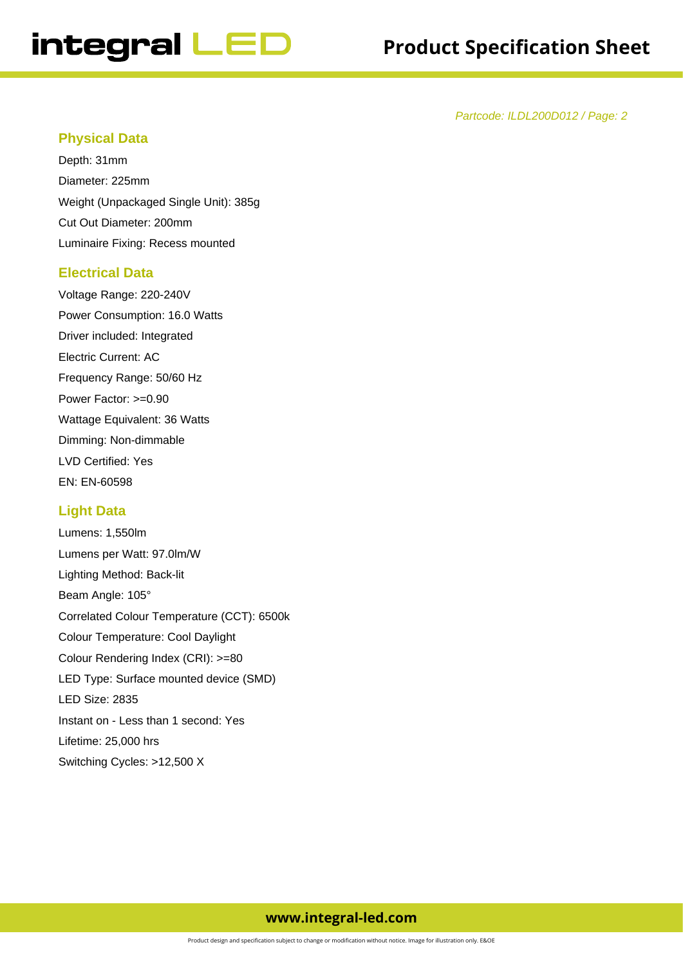# integral LED

# **Product Specification Sheet**

Partcode: ILDL200D012 / Page: 2

#### **Physical Data**

Depth: 31mm Diameter: 225mm Weight (Unpackaged Single Unit): 385g Cut Out Diameter: 200mm Luminaire Fixing: Recess mounted

#### **Electrical Data**

Voltage Range: 220-240V Power Consumption: 16.0 Watts Driver included: Integrated Electric Current: AC Frequency Range: 50/60 Hz Power Factor: >=0.90 Wattage Equivalent: 36 Watts Dimming: Non-dimmable LVD Certified: Yes EN: EN-60598

#### **Light Data**

Lumens: 1,550lm Lumens per Watt: 97.0lm/W Lighting Method: Back-lit Beam Angle: 105° Correlated Colour Temperature (CCT): 6500k Colour Temperature: Cool Daylight Colour Rendering Index (CRI): >=80 LED Type: Surface mounted device (SMD) LED Size: 2835 Instant on - Less than 1 second: Yes Lifetime: 25,000 hrs Switching Cycles: >12,500 X

## **www.integral-led.com**